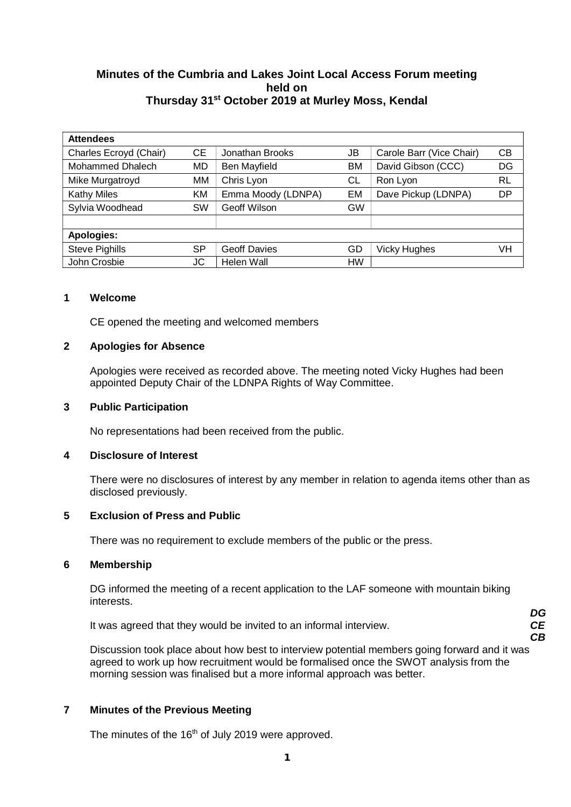# **Minutes of the Cumbria and Lakes Joint Local Access Forum meeting held on Thursday 31st October 2019 at Murley Moss, Kendal**

| <b>Attendees</b>       |           |                     |           |                          |           |  |  |
|------------------------|-----------|---------------------|-----------|--------------------------|-----------|--|--|
| Charles Ecroyd (Chair) | <b>CE</b> | Jonathan Brooks     | JB        | Carole Barr (Vice Chair) | CВ        |  |  |
| Mohammed Dhalech       | <b>MD</b> | Ben Mayfield        | BM        | David Gibson (CCC)       | DG        |  |  |
| Mike Murgatroyd        | МM        | Chris Lyon          | CL        | Ron Lyon                 | <b>RL</b> |  |  |
| <b>Kathy Miles</b>     | KM        | Emma Moody (LDNPA)  | EM        | Dave Pickup (LDNPA)      | DP        |  |  |
| Sylvia Woodhead        | SW        | Geoff Wilson        | <b>GW</b> |                          |           |  |  |
|                        |           |                     |           |                          |           |  |  |
| <b>Apologies:</b>      |           |                     |           |                          |           |  |  |
| <b>Steve Pighills</b>  | <b>SP</b> | <b>Geoff Davies</b> | GD        | <b>Vicky Hughes</b>      | VH        |  |  |
| John Crosbie           | JC        | Helen Wall          | <b>HW</b> |                          |           |  |  |

## **1 Welcome**

CE opened the meeting and welcomed members

## **2 Apologies for Absence**

Apologies were received as recorded above. The meeting noted Vicky Hughes had been appointed Deputy Chair of the LDNPA Rights of Way Committee.

#### **3 Public Participation**

No representations had been received from the public.

#### **4 Disclosure of Interest**

There were no disclosures of interest by any member in relation to agenda items other than as disclosed previously.

## **5 Exclusion of Press and Public**

There was no requirement to exclude members of the public or the press.

#### **6 Membership**

DG informed the meeting of a recent application to the LAF someone with mountain biking interests.

It was agreed that they would be invited to an informal interview.

*CE CB*

*DG*

Discussion took place about how best to interview potential members going forward and it was agreed to work up how recruitment would be formalised once the SWOT analysis from the morning session was finalised but a more informal approach was better.

# **7 Minutes of the Previous Meeting**

The minutes of the  $16<sup>th</sup>$  of July 2019 were approved.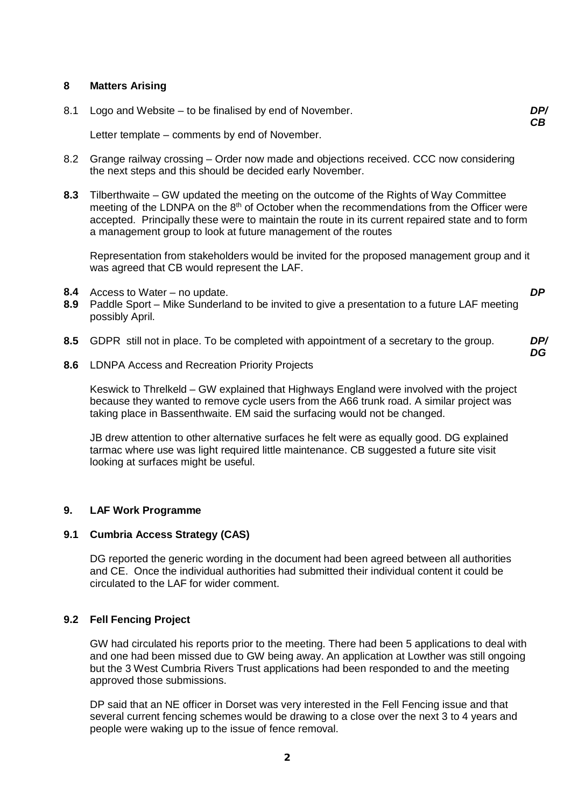## **8 Matters Arising**

| 8.1 Logo and Website – to be finalised by end of November. | DP/<br>CВ |
|------------------------------------------------------------|-----------|
| Letter template – comments by end of November.             |           |

- 8.2 Grange railway crossing Order now made and objections received. CCC now considering the next steps and this should be decided early November.
- **8.3** Tilberthwaite GW updated the meeting on the outcome of the Rights of Way Committee meeting of the LDNPA on the  $8<sup>th</sup>$  of October when the recommendations from the Officer were accepted. Principally these were to maintain the route in its current repaired state and to form a management group to look at future management of the routes

Representation from stakeholders would be invited for the proposed management group and it was agreed that CB would represent the LAF.

- **8.4** Access to Water no update.
- **8.9** Paddle Sport Mike Sunderland to be invited to give a presentation to a future LAF meeting possibly April.
- **8.5** GDPR still not in place. To be completed with appointment of a secretary to the group. *DP/*
- **8.6** LDNPA Access and Recreation Priority Projects

Keswick to Threlkeld – GW explained that Highways England were involved with the project because they wanted to remove cycle users from the A66 trunk road. A similar project was taking place in Bassenthwaite. EM said the surfacing would not be changed.

JB drew attention to other alternative surfaces he felt were as equally good. DG explained tarmac where use was light required little maintenance. CB suggested a future site visit looking at surfaces might be useful.

#### **9. LAF Work Programme**

## **9.1 Cumbria Access Strategy (CAS)**

DG reported the generic wording in the document had been agreed between all authorities and CE. Once the individual authorities had submitted their individual content it could be circulated to the LAF for wider comment.

#### **9.2 Fell Fencing Project**

GW had circulated his reports prior to the meeting. There had been 5 applications to deal with and one had been missed due to GW being away. An application at Lowther was still ongoing but the 3 West Cumbria Rivers Trust applications had been responded to and the meeting approved those submissions.

DP said that an NE officer in Dorset was very interested in the Fell Fencing issue and that several current fencing schemes would be drawing to a close over the next 3 to 4 years and people were waking up to the issue of fence removal.

*DP*

*DG*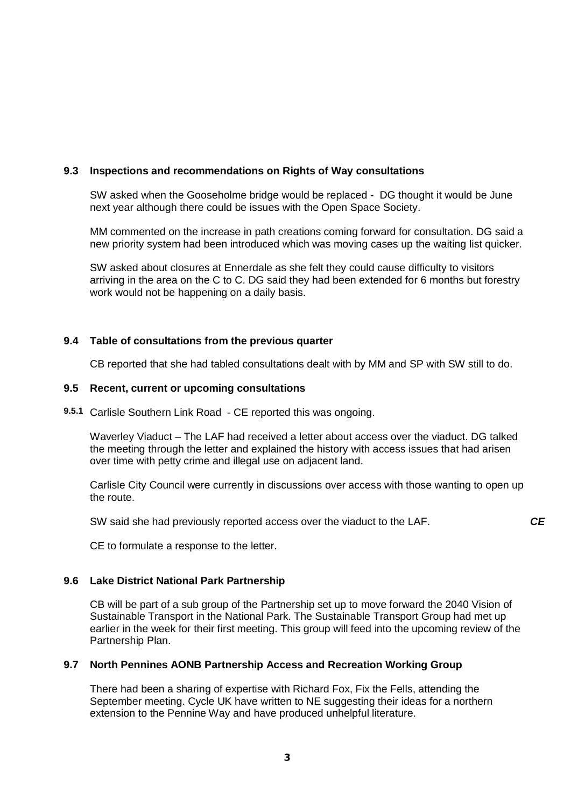## **9.3 Inspections and recommendations on Rights of Way consultations**

SW asked when the Gooseholme bridge would be replaced - DG thought it would be June next year although there could be issues with the Open Space Society.

MM commented on the increase in path creations coming forward for consultation. DG said a new priority system had been introduced which was moving cases up the waiting list quicker.

SW asked about closures at Ennerdale as she felt they could cause difficulty to visitors arriving in the area on the C to C. DG said they had been extended for 6 months but forestry work would not be happening on a daily basis.

## **9.4 Table of consultations from the previous quarter**

CB reported that she had tabled consultations dealt with by MM and SP with SW still to do.

#### **9.5 Recent, current or upcoming consultations**

**9.5.1** Carlisle Southern Link Road - CE reported this was ongoing.

Waverley Viaduct – The LAF had received a letter about access over the viaduct. DG talked the meeting through the letter and explained the history with access issues that had arisen over time with petty crime and illegal use on adjacent land.

Carlisle City Council were currently in discussions over access with those wanting to open up the route.

SW said she had previously reported access over the viaduct to the LAF.

CE to formulate a response to the letter.

#### **9.6 Lake District National Park Partnership**

CB will be part of a sub group of the Partnership set up to move forward the 2040 Vision of Sustainable Transport in the National Park. The Sustainable Transport Group had met up earlier in the week for their first meeting. This group will feed into the upcoming review of the Partnership Plan.

#### **9.7 North Pennines AONB Partnership Access and Recreation Working Group**

There had been a sharing of expertise with Richard Fox, Fix the Fells, attending the September meeting. Cycle UK have written to NE suggesting their ideas for a northern extension to the Pennine Way and have produced unhelpful literature.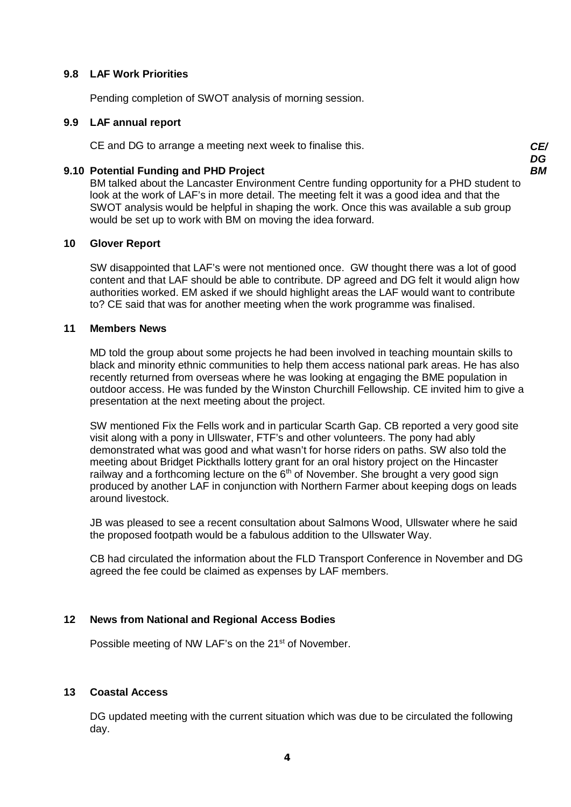## **9.8 LAF Work Priorities**

Pending completion of SWOT analysis of morning session.

## **9.9 LAF annual report**

CE and DG to arrange a meeting next week to finalise this. *CE/*

## **9.10 Potential Funding and PHD Project**

BM talked about the Lancaster Environment Centre funding opportunity for a PHD student to look at the work of LAF's in more detail. The meeting felt it was a good idea and that the SWOT analysis would be helpful in shaping the work. Once this was available a sub group would be set up to work with BM on moving the idea forward.

## **10 Glover Report**

SW disappointed that LAF's were not mentioned once. GW thought there was a lot of good content and that LAF should be able to contribute. DP agreed and DG felt it would align how authorities worked. EM asked if we should highlight areas the LAF would want to contribute to? CE said that was for another meeting when the work programme was finalised.

## **11 Members News**

MD told the group about some projects he had been involved in teaching mountain skills to black and minority ethnic communities to help them access national park areas. He has also recently returned from overseas where he was looking at engaging the BME population in outdoor access. He was funded by the Winston Churchill Fellowship. CE invited him to give a presentation at the next meeting about the project.

SW mentioned Fix the Fells work and in particular Scarth Gap. CB reported a very good site visit along with a pony in Ullswater, FTF's and other volunteers. The pony had ably demonstrated what was good and what wasn't for horse riders on paths. SW also told the meeting about Bridget Pickthalls lottery grant for an oral history project on the Hincaster railway and a forthcoming lecture on the  $6<sup>th</sup>$  of November. She brought a very good sign produced by another LAF in conjunction with Northern Farmer about keeping dogs on leads around livestock.

JB was pleased to see a recent consultation about Salmons Wood, Ullswater where he said the proposed footpath would be a fabulous addition to the Ullswater Way.

CB had circulated the information about the FLD Transport Conference in November and DG agreed the fee could be claimed as expenses by LAF members.

# **12 News from National and Regional Access Bodies**

Possible meeting of NW LAF's on the 21<sup>st</sup> of November.

# **13 Coastal Access**

DG updated meeting with the current situation which was due to be circulated the following day.

*DG BM*